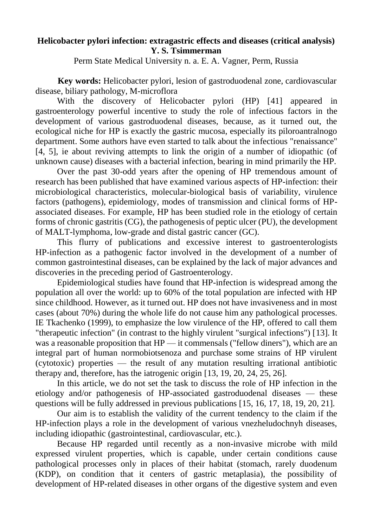## **Helicobacter pylori infection: extragastric effects and diseases (critical analysis) Y. S. Tsimmerman**

Perm State Medical University n. a. E. A. Vagner, Perm, Russia

**Key words:** Helicobacter pylori, lesion of gastroduodenal zone, cardiovascular disease, biliary pathology, M-microflora

With the discovery of Helicobacter pylori (HP) [\[41\]](https://translate.googleusercontent.com/translate_f#_Ref459987501) appeared in gastroenterology powerful incentive to study the role of infectious factors in the development of various gastroduodenal diseases, because, as it turned out, the ecological niche for HP is exactly the gastric mucosa, especially its piloroantralnogo department. Some authors have even started to talk about the infectious "renaissance" [\[4,](https://translate.googleusercontent.com/translate_f#_Ref459987507) [5\]](https://translate.googleusercontent.com/translate_f#_Ref459987511), ie about reviving attempts to link the origin of a number of idiopathic (of unknown cause) diseases with a bacterial infection, bearing in mind primarily the HP.

Over the past 30-odd years after the opening of HP tremendous amount of research has been published that have examined various aspects of HP-infection: their microbiological characteristics, molecular-biological basis of variability, virulence factors (pathogens), epidemiology, modes of transmission and clinical forms of HPassociated diseases. For example, HP has been studied role in the etiology of certain forms of chronic gastritis (CG), the pathogenesis of peptic ulcer (PU), the development of MALT-lymphoma, low-grade and distal gastric cancer (GC).

This flurry of publications and excessive interest to gastroenterologists HP-infection as a pathogenic factor involved in the development of a number of common gastrointestinal diseases, can be explained by the lack of major advances and discoveries in the preceding period of Gastroenterology.

Epidemiological studies have found that HP-infection is widespread among the population all over the world: up to 60% of the total population are infected with HP since childhood. However, as it turned out. HP does not have invasiveness and in most cases (about 70%) during the whole life do not cause him any pathological processes. IE Tkachenko (1999), to emphasize the low virulence of the HP, offered to call them "therapeutic infection" (in contrast to the highly virulent "surgical infections") [\[13\]](https://translate.googleusercontent.com/translate_f#_Ref459987669). It was a reasonable proposition that HP — it commensals ("fellow diners"), which are an integral part of human normobiotsenoza and purchase some strains of HP virulent (cytotoxic) properties — the result of any mutation resulting irrational antibiotic therapy and, therefore, has the iatrogenic origin [\[13,](https://translate.googleusercontent.com/translate_f#_Ref459987669) [19,](https://translate.googleusercontent.com/translate_f#_Ref459987728) [20,](https://translate.googleusercontent.com/translate_f#_Ref459987724) [24,](https://translate.googleusercontent.com/translate_f#_Ref459987750) [25,](https://translate.googleusercontent.com/translate_f#_Ref459987733) [26\]](https://translate.googleusercontent.com/translate_f#_Ref459987737).

In this article, we do not set the task to discuss the role of HP infection in the etiology and/or pathogenesis of HP-associated gastroduodenal diseases — these questions will be fully addressed in previous publications [\[15,](https://translate.googleusercontent.com/translate_f#_Ref459987818) [16,](https://translate.googleusercontent.com/translate_f#_Ref459987806) [17,](https://translate.googleusercontent.com/translate_f#_Ref459987814) [18,](https://translate.googleusercontent.com/translate_f#_Ref459987801) [19,](https://translate.googleusercontent.com/translate_f#_Ref459987728) [20,](https://translate.googleusercontent.com/translate_f#_Ref459987724) [21\]](https://translate.googleusercontent.com/translate_f#_Ref459987797).

Our aim is to establish the validity of the current tendency to the claim if the HP-infection plays a role in the development of various vnezheludochnyh diseases, including idiopathic (gastrointestinal, cardiovascular, etc.).

Because HP regarded until recently as a non-invasive microbe with mild expressed virulent properties, which is capable, under certain conditions cause pathological processes only in places of their habitat (stomach, rarely duodenum (KDP), on condition that it centers of gastric metaplasia), the possibility of development of HP-related diseases in other organs of the digestive system and even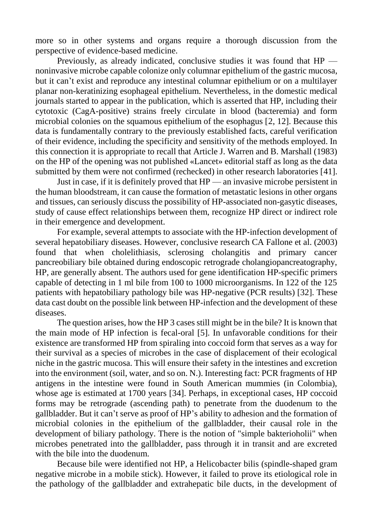more so in other systems and organs require a thorough discussion from the perspective of evidence-based medicine.

Previously, as already indicated, conclusive studies it was found that HP noninvasive microbe capable colonize only columnar epithelium of the gastric mucosa, but it can't exist and reproduce any intestinal columnar epithelium or on a multilayer planar non-keratinizing esophageal epithelium. Nevertheless, in the domestic medical journals started to appear in the publication, which is asserted that HP, including their cytotoxic (CagA-positive) strains freely circulate in blood (bacteremia) and form microbial colonies on the squamous epithelium of the esophagus [\[2,](https://translate.googleusercontent.com/translate_f#_Ref459987951) [12\]](https://translate.googleusercontent.com/translate_f#_Ref459987955). Because this data is fundamentally contrary to the previously established facts, careful verification of their evidence, including the specificity and sensitivity of the methods employed. In this connection it is appropriate to recall that Article J. Warren and B. Marshall (1983) on the HP of the opening was not published «Lancet» editorial staff as long as the data submitted by them were not confirmed (rechecked) in other research laboratories [\[41\]](https://translate.googleusercontent.com/translate_f#_Ref459987501).

Just in case, if it is definitely proved that HP — an invasive microbe persistent in the human bloodstream, it can cause the formation of metastatic lesions in other organs and tissues, can seriously discuss the possibility of HP-associated non-gasytic diseases, study of cause effect relationships between them, recognize HP direct or indirect role in their emergence and development.

For example, several attempts to associate with the HP-infection development of several hepatobiliary diseases. However, conclusive research CA Fallone et al. (2003) found that when cholelithiasis, sclerosing cholangitis and primary cancer pancreobiliary bile obtained during endoscopic retrograde cholangiopancreatography, HP, are generally absent. The authors used for gene identification HP-specific primers capable of detecting in 1 ml bile from 100 to 1000 microorganisms. In 122 of the 125 patients with hepatobiliary pathology bile was HP-negative (PCR results) [\[32\]](https://translate.googleusercontent.com/translate_f#_Ref459988200). These data cast doubt on the possible link between HP-infection and the development of these diseases.

The question arises, how the HP 3 cases still might be in the bile? It is known that the main mode of HP infection is fecal-oral [\[5\]](https://translate.googleusercontent.com/translate_f#_Ref459987511). In unfavorable conditions for their existence are transformed HP from spiraling into coccoid form that serves as a way for their survival as a species of microbes in the case of displacement of their ecological niche in the gastric mucosa. This will ensure their safety in the intestines and excretion into the environment (soil, water, and so on. N.). Interesting fact: PCR fragments of HP antigens in the intestine were found in South American mummies (in Colombia), whose age is estimated at 1700 years [\[34\]](https://translate.googleusercontent.com/translate_f#_Ref459988269). Perhaps, in exceptional cases, HP coccoid forms may be retrograde (ascending path) to penetrate from the duodenum to the gallbladder. But it can't serve as proof of HP's ability to adhesion and the formation of microbial colonies in the epithelium of the gallbladder, their causal role in the development of biliary pathology. There is the notion of "simple bakterioholii" when microbes penetrated into the gallbladder, pass through it in transit and are excreted with the bile into the duodenum.

Because bile were identified not HP, a Helicobacter bilis (spindle-shaped gram negative microbe in a mobile stick). However, it failed to prove its etiological role in the pathology of the gallbladder and extrahepatic bile ducts, in the development of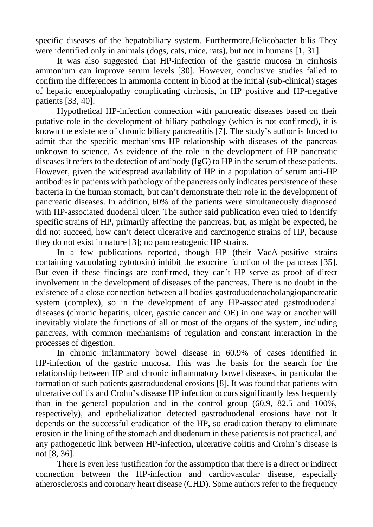specific diseases of the hepatobiliary system. Furthermore,Helicobacter bilis They were identified only in animals (dogs, cats, mice, rats), but not in humans [\[1,](https://translate.googleusercontent.com/translate_f#_Ref459988342) [31\]](https://translate.googleusercontent.com/translate_f#_Ref459988346).

It was also suggested that HP-infection of the gastric mucosa in cirrhosis ammonium can improve serum levels [\[30\]](https://translate.googleusercontent.com/translate_f#_Ref459988360). However, conclusive studies failed to confirm the differences in ammonia content in blood at the initial (sub-clinical) stages of hepatic encephalopathy complicating cirrhosis, in HP positive and HP-negative patients [\[33,](https://translate.googleusercontent.com/translate_f#_Ref459988374) [40\]](https://translate.googleusercontent.com/translate_f#_Ref459988377).

Hypothetical HP-infection connection with pancreatic diseases based on their putative role in the development of biliary pathology (which is not confirmed), it is known the existence of chronic biliary pancreatitis [\[7\]](https://translate.googleusercontent.com/translate_f#_Ref459988400). The study's author is forced to admit that the specific mechanisms HP relationship with diseases of the pancreas unknown to science. As evidence of the role in the development of HP pancreatic diseases it refers to the detection of antibody (IgG) to HP in the serum of these patients. However, given the widespread availability of HP in a population of serum anti-HP antibodies in patients with pathology of the pancreas only indicates persistence of these bacteria in the human stomach, but can't demonstrate their role in the development of pancreatic diseases. In addition, 60% of the patients were simultaneously diagnosed with HP-associated duodenal ulcer. The author said publication even tried to identify specific strains of HP, primarily affecting the pancreas, but, as might be expected, he did not succeed, how can't detect ulcerative and carcinogenic strains of HP, because they do not exist in nature [\[3\]](https://translate.googleusercontent.com/translate_f#_Ref459988467); no pancreatogenic HP strains.

In a few publications reported, though HP (their VacA-positive strains containing vacuolating cytotoxin) inhibit the exocrine function of the pancreas [\[35\]](https://translate.googleusercontent.com/translate_f#_Ref459988498). But even if these findings are confirmed, they can't HP serve as proof of direct involvement in the development of diseases of the pancreas. There is no doubt in the existence of a close connection between all bodies gastroduodenocholangiopancreatic system (complex), so in the development of any HP-associated gastroduodenal diseases (chronic hepatitis, ulcer, gastric cancer and OE) in one way or another will inevitably violate the functions of all or most of the organs of the system, including pancreas, with common mechanisms of regulation and constant interaction in the processes of digestion.

In chronic inflammatory bowel disease in 60.9% of cases identified in HP-infection of the gastric mucosa. This was the basis for the search for the relationship between HP and chronic inflammatory bowel diseases, in particular the formation of such patients gastroduodenal erosions [\[8\]](https://translate.googleusercontent.com/translate_f#_Ref459988558). It was found that patients with ulcerative colitis and Crohn's disease HP infection occurs significantly less frequently than in the general population and in the control group (60.9, 82.5 and 100%, respectively), and epithelialization detected gastroduodenal erosions have not It depends on the successful eradication of the HP, so eradication therapy to eliminate erosion in the lining of the stomach and duodenum in these patients is not practical, and any pathogenetic link between HP-infection, ulcerative colitis and Crohn's disease is not [\[8,](https://translate.googleusercontent.com/translate_f#_Ref459988558) [36\]](https://translate.googleusercontent.com/translate_f#_Ref459988597).

There is even less justification for the assumption that there is a direct or indirect connection between the HP-infection and cardiovascular disease, especially atherosclerosis and coronary heart disease (CHD). Some authors refer to the frequency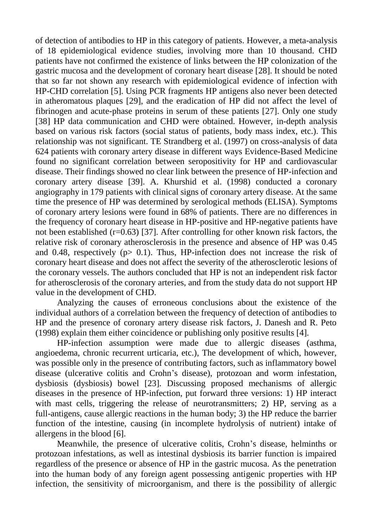of detection of antibodies to HP in this category of patients. However, a meta-analysis of 18 epidemiological evidence studies, involving more than 10 thousand. CHD patients have not confirmed the existence of links between the HP colonization of the gastric mucosa and the development of coronary heart disease [\[28\]](https://translate.googleusercontent.com/translate_f#_Ref459988634). It should be noted that so far not shown any research with epidemiological evidence of infection with HP-CHD correlation [\[5\]](https://translate.googleusercontent.com/translate_f#_Ref459987511). Using PCR fragments HP antigens also never been detected in atheromatous plaques [\[29\]](https://translate.googleusercontent.com/translate_f#_Ref459988683), and the eradication of HP did not affect the level of fibrinogen and acute-phase proteins in serum of these patients [\[27\]](https://translate.googleusercontent.com/translate_f#_Ref459988694). Only one study [\[38\]](https://translate.googleusercontent.com/translate_f#_Ref459988702) HP data communication and CHD were obtained. However, in-depth analysis based on various risk factors (social status of patients, body mass index, etc.). This relationship was not significant. TE Strandberg et al. (1997) on cross-analysis of data 624 patients with coronary artery disease in different ways Evidence-Based Medicine found no significant correlation between seropositivity for HP and cardiovascular disease. Their findings showed no clear link between the presence of HP-infection and coronary artery disease [\[39\]](https://translate.googleusercontent.com/translate_f#_Ref459988746). A. Khurshid et al. (1998) conducted a coronary angiography in 179 patients with clinical signs of coronary artery disease. At the same time the presence of HP was determined by serological methods (ELISA). Symptoms of coronary artery lesions were found in 68% of patients. There are no differences in the frequency of coronary heart disease in HP-positive and HP-negative patients have not been established (r=0.63) [\[37\]](https://translate.googleusercontent.com/translate_f#_Ref459988772). After controlling for other known risk factors, the relative risk of coronary atherosclerosis in the presence and absence of HP was 0.45 and 0.48, respectively ( $p > 0.1$ ). Thus, HP-infection does not increase the risk of coronary heart disease and does not affect the severity of the atherosclerotic lesions of the coronary vessels. The authors concluded that HP is not an independent risk factor for atherosclerosis of the coronary arteries, and from the study data do not support HP value in the development of CHD.

Analyzing the causes of erroneous conclusions about the existence of the individual authors of a correlation between the frequency of detection of antibodies to HP and the presence of coronary artery disease risk factors, J. Danesh and R. Peto (1998) explain them either coincidence or publishing only positive results [\[4\]](https://translate.googleusercontent.com/translate_f#_Ref459987507).

HP-infection assumption were made due to allergic diseases (asthma, angioedema, chronic recurrent urticaria, etc.), The development of which, however, was possible only in the presence of contributing factors, such as inflammatory bowel disease (ulcerative colitis and Crohn's disease), protozoan and worm infestation, dysbiosis (dysbiosis) bowel [\[23\]](https://translate.googleusercontent.com/translate_f#_Ref459988894). Discussing proposed mechanisms of allergic diseases in the presence of HP-infection, put forward three versions: 1) HP interact with mast cells, triggering the release of neurotransmitters; 2) HP, serving as a full-antigens, cause allergic reactions in the human body; 3) the HP reduce the barrier function of the intestine, causing (in incomplete hydrolysis of nutrient) intake of allergens in the blood [\[6\]](https://translate.googleusercontent.com/translate_f#_Ref459988924).

Meanwhile, the presence of ulcerative colitis, Crohn's disease, helminths or protozoan infestations, as well as intestinal dysbiosis its barrier function is impaired regardless of the presence or absence of HP in the gastric mucosa. As the penetration into the human body of any foreign agent possessing antigenic properties with HP infection, the sensitivity of microorganism, and there is the possibility of allergic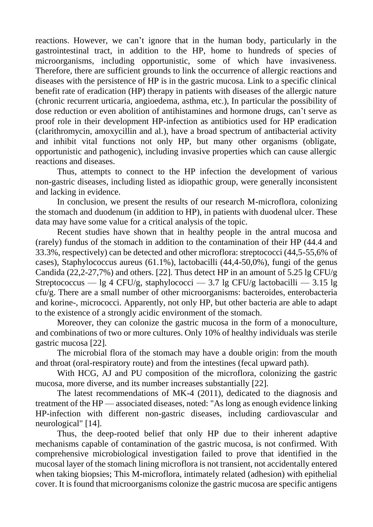reactions. However, we can't ignore that in the human body, particularly in the gastrointestinal tract, in addition to the HP, home to hundreds of species of microorganisms, including opportunistic, some of which have invasiveness. Therefore, there are sufficient grounds to link the occurrence of allergic reactions and diseases with the persistence of HP is in the gastric mucosa. Link to a specific clinical benefit rate of eradication (HP) therapy in patients with diseases of the allergic nature (chronic recurrent urticaria, angioedema, asthma, etc.), In particular the possibility of dose reduction or even abolition of antihistamines and hormone drugs, can't serve as proof role in their development HP-infection as antibiotics used for HP eradication (clarithromycin, amoxycillin and al.), have a broad spectrum of antibacterial activity and inhibit vital functions not only HP, but many other organisms (obligate, opportunistic and pathogenic), including invasive properties which can cause allergic reactions and diseases.

Thus, attempts to connect to the HP infection the development of various non-gastric diseases, including listed as idiopathic group, were generally inconsistent and lacking in evidence.

In conclusion, we present the results of our research M-microflora, colonizing the stomach and duodenum (in addition to HP), in patients with duodenal ulcer. These data may have some value for a critical analysis of the topic.

Recent studies have shown that in healthy people in the antral mucosa and (rarely) fundus of the stomach in addition to the contamination of their HP (44.4 and 33.3%, respectively) can be detected and other microflora: streptococci (44,5-55,6% of cases), Staphylococcus aureus (61.1%), lactobacilli (44,4-50,0%), fungi of the genus Candida (22,2-27,7%) and others. [\[22\]](https://translate.googleusercontent.com/translate_f#_Ref459989101). Thus detect HP in an amount of 5.25 lg CFU/g Streptococcus — lg 4 CFU/g, staphylococci — 3.7 lg CFU/g lactobacilli — 3.15 lg cfu/g. There are a small number of other microorganisms: bacteroides, enterobacteria and korine-, micrococci. Apparently, not only HP, but other bacteria are able to adapt to the existence of a strongly acidic environment of the stomach.

Moreover, they can colonize the gastric mucosa in the form of a monoculture, and combinations of two or more cultures. Only 10% of healthy individuals was sterile gastric mucosa [\[22\]](https://translate.googleusercontent.com/translate_f#_Ref459989101).

The microbial flora of the stomach may have a double origin: from the mouth and throat (oral-respiratory route) and from the intestines (fecal upward path).

With HCG, AJ and PU composition of the microflora, colonizing the gastric mucosa, more diverse, and its number increases substantially [\[22\]](https://translate.googleusercontent.com/translate_f#_Ref459989101).

The latest recommendations of MK-4 (2011), dedicated to the diagnosis and treatment of the HP — associated diseases, noted: "As long as enough evidence linking HP-infection with different non-gastric diseases, including cardiovascular and neurological" [\[14\]](https://translate.googleusercontent.com/translate_f#_Ref459989222).

Thus, the deep-rooted belief that only HP due to their inherent adaptive mechanisms capable of contamination of the gastric mucosa, is not confirmed. With comprehensive microbiological investigation failed to prove that identified in the mucosal layer of the stomach lining microflora is not transient, not accidentally entered when taking biopsies; This M-microflora, intimately related (adhesion) with epithelial cover. It is found that microorganisms colonize the gastric mucosa are specific antigens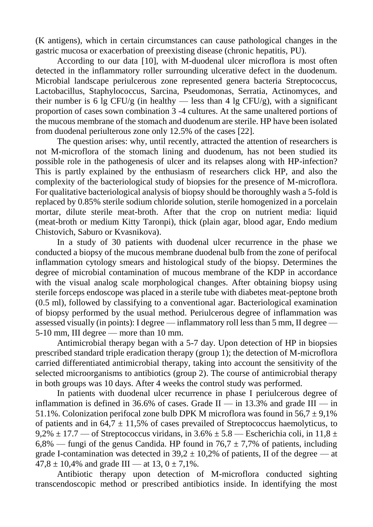(K antigens), which in certain circumstances can cause pathological changes in the gastric mucosa or exacerbation of preexisting disease (chronic hepatitis, PU).

According to our data [\[10\]](https://translate.googleusercontent.com/translate_f#_Ref459989284), with M-duodenal ulcer microflora is most often detected in the inflammatory roller surrounding ulcerative defect in the duodenum. Microbial landscape periulcerous zone represented genera bacteria Streptococcus, Lactobacillus, Staphylococcus, Sarcina, Pseudomonas, Serratia, Actinomyces, and their number is 6 lg CFU/g (in healthy — less than 4 lg CFU/g), with a significant proportion of cases sown combination 3 -4 cultures. At the same unaltered portions of the mucous membrane of the stomach and duodenum are sterile. HP have been isolated from duodenal periulterous zone only 12.5% of the cases [\[22\]](https://translate.googleusercontent.com/translate_f#_Ref459989101).

The question arises: why, until recently, attracted the attention of researchers is not M-microflora of the stomach lining and duodenum, has not been studied its possible role in the pathogenesis of ulcer and its relapses along with HP-infection? This is partly explained by the enthusiasm of researchers click HP, and also the complexity of the bacteriological study of biopsies for the presence of M-microflora. For qualitative bacteriological analysis of biopsy should be thoroughly wash a 5-fold is replaced by 0.85% sterile sodium chloride solution, sterile homogenized in a porcelain mortar, dilute sterile meat-broth. After that the crop on nutrient media: liquid (meat-broth or medium Kitty Taronpi), thick (plain agar, blood agar, Endo medium Chistovich, Saburo or Kvasnikova).

In a study of 30 patients with duodenal ulcer recurrence in the phase we conducted a biopsy of the mucous membrane duodenal bulb from the zone of perifocal inflammation cytology smears and histological study of the biopsy. Determines the degree of microbial contamination of mucous membrane of the KDP in accordance with the visual analog scale morphological changes. After obtaining biopsy using sterile forceps endoscope was placed in a sterile tube with diabetes meat-peptone broth (0.5 ml), followed by classifying to a conventional agar. Bacteriological examination of biopsy performed by the usual method. Periulcerous degree of inflammation was assessed visually (in points): I degree — inflammatory roll less than 5 mm, II degree — 5-10 mm, III degree — more than 10 mm.

Antimicrobial therapy began with a 5-7 day. Upon detection of HP in biopsies prescribed standard triple eradication therapy (group 1); the detection of M-microflora carried differentiated antimicrobial therapy, taking into account the sensitivity of the selected microorganisms to antibiotics (group 2). The course of antimicrobial therapy in both groups was 10 days. After 4 weeks the control study was performed.

In patients with duodenal ulcer recurrence in phase I periulcerous degree of inflammation is defined in 36.6% of cases. Grade II — in 13.3% and grade  $\overline{III}$  — in 51.1%. Colonization perifocal zone bulb DPK M microflora was found in  $56.7 \pm 9.1\%$ of patients and in 64,7  $\pm$  11,5% of cases prevailed of Streptococcus haemolyticus, to 9,2%  $\pm$  17.7 — of Streptococcus viridans, in 3.6%  $\pm$  5.8 — Escherichia coli, in 11,8  $\pm$ 6,8% — fungi of the genus Candida. HP found in  $76.7 \pm 7.7$ % of patients, including grade I-contamination was detected in  $39.2 \pm 10.2$ % of patients, II of the degree — at  $47,8 \pm 10,4\%$  and grade III — at 13,  $0 \pm 7,1\%$ .

Antibiotic therapy upon detection of M-microflora conducted sighting transcendoscopic method or prescribed antibiotics inside. In identifying the most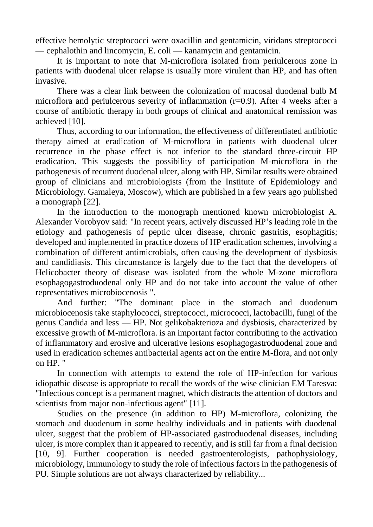effective hemolytic streptococci were oxacillin and gentamicin, viridans streptococci — cephalothin and lincomycin, E. coli — kanamycin and gentamicin.

It is important to note that M-microflora isolated from periulcerous zone in patients with duodenal ulcer relapse is usually more virulent than HP, and has often invasive.

There was a clear link between the colonization of mucosal duodenal bulb M microflora and periulcerous severity of inflammation (r=0.9). After 4 weeks after a course of antibiotic therapy in both groups of clinical and anatomical remission was achieved [\[10\]](https://translate.googleusercontent.com/translate_f#_Ref459989284).

Thus, according to our information, the effectiveness of differentiated antibiotic therapy aimed at eradication of M-microflora in patients with duodenal ulcer recurrence in the phase effect is not inferior to the standard three-circuit HP eradication. This suggests the possibility of participation M-microflora in the pathogenesis of recurrent duodenal ulcer, along with HP. Similar results were obtained group of clinicians and microbiologists (from the Institute of Epidemiology and Microbiology. Gamaleya, Moscow), which are published in a few years ago published a monograph [\[22\]](https://translate.googleusercontent.com/translate_f#_Ref459989101).

In the introduction to the monograph mentioned known microbiologist A. Alexander Vorobyov said: "In recent years, actively discussed HP's leading role in the etiology and pathogenesis of peptic ulcer disease, chronic gastritis, esophagitis; developed and implemented in practice dozens of HP eradication schemes, involving a combination of different antimicrobials, often causing the development of dysbiosis and candidiasis. This circumstance is largely due to the fact that the developers of Helicobacter theory of disease was isolated from the whole M-zone microflora esophagogastroduodenal only HP and do not take into account the value of other representatives microbiocenosis ".

And further: "The dominant place in the stomach and duodenum microbiocenosis take staphylococci, streptococci, micrococci, lactobacilli, fungi of the genus Candida and less — HP. Not gelikobakterioza and dysbiosis, characterized by excessive growth of M-microflora. is an important factor contributing to the activation of inflammatory and erosive and ulcerative lesions esophagogastroduodenal zone and used in eradication schemes antibacterial agents act on the entire M-flora, and not only on HP. "

In connection with attempts to extend the role of HP-infection for various idiopathic disease is appropriate to recall the words of the wise clinician EM Taresva: "Infectious concept is a permanent magnet, which distracts the attention of doctors and scientists from major non-infectious agent" [\[11\]](https://translate.googleusercontent.com/translate_f#_Ref459989932).

Studies on the presence (in addition to HP) M-microflora, colonizing the stomach and duodenum in some healthy individuals and in patients with duodenal ulcer, suggest that the problem of HP-associated gastroduodenal diseases, including ulcer, is more complex than it appeared to recently, and is still far from a final decision [\[10,](https://translate.googleusercontent.com/translate_f#_Ref459989284) [9\]](https://translate.googleusercontent.com/translate_f#_Ref459989962). Further cooperation is needed gastroenterologists, pathophysiology, microbiology, immunology to study the role of infectious factors in the pathogenesis of PU. Simple solutions are not always characterized by reliability...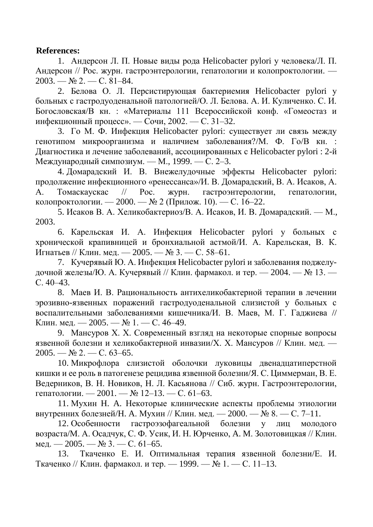## **References:**

1. Андерсон Л. П. Новые виды рода Helicobacter pylori у человека/Л. П. Андерсон // Рос. журн. гастроэнтерологии, гепатологии и колопроктологии. —  $2003. - N_2 2. - C. 81-84.$ 

2. Белова О. Л. Персистирующая бактериемия Helicobacter pylori у больных с гастродуоденальной патологией/О. Л. Белова. А. И. Куличенко. С. И. Богословская/В кн. : «Материалы 111 Всероссийской конф. «Гомеостаз и инфекционный процесс». — Сочи, 2002. — С. 31–32.

3. Го М. Ф. Инфекция Helicobacter pylori: существует ли связь между генотипом микроорганизма и наличием заболевания?/М. Ф. Го/В кн. : Диагностика и лечение заболеваний, ассоциированных с Helicobacter pylori : 2-й Международный симпозиум. — М., 1999. — С. 2–3.

4. Домарадский И. В. Внежелудочные эффекты Helicobacter pylori: продолжение инфекционного «ренессанса»/И. В. Домарадский, В. А. Исаков, А. А. Томаскаускас // Рос. журн. гастроэнтерологии, гепатологии, колопроктологии. — 2000. — № 2 (Прилож. 10). — С. 16–22.

5. Исаков В. А. Хеликобактериоз/В. А. Исаков, И. В. Домарадский. — М., 2003.

6. Карельская И. А. Инфекция Helicobacter pylori у больных с хронической крапивницей и бронхиальной астмой/И. А. Карельская, В. К. Игнатьев // Клин. мед. — 2005. — № 3. — С. 58–61.

7. Кучерявый Ю. А. Инфекция Helicobacter pylori и заболевания поджелудочной железы/Ю. А. Кучерявый // Клин. фармакол. и тер. — 2004. — № 13. — С. 40–43.

8. Маев И. В. Рациональность антихеликобактерной терапии в лечении эрозивно-язвенных поражений гастродуоденальной слизистой у больных с воспалительными заболеваниями кишечника/И. В. Маев, М. Г. Гаджиева // Клин. мед. — 2005. — № 1. — С. 46–49.

9. Мансуров X. X. Современный взгляд на некоторые спорные вопросы язвенной болезни и хеликобактерной инвазии/X. X. Мансуров // Клин. мед. —  $2005. -$  No  $2. -$  C. 63-65.

10. Микрофлора слизистой оболочки луковицы двенадцатиперстной кишки и ее роль в патогенезе рецидива язвенной болезни/Я. С. Циммерман, В. Е. Ведерников, В. Н. Новиков, H. Л. Касьянова // Сиб. журн. Гастроэнтерологии, гепатологии. — 2001. — № 12–13. — С. 61–63.

11. Мухин H. A. Некоторые клинические аспекты проблемы этиологии внутренних болезней/Н. А. Мухин // Клин. мед. — 2000. —  $\mathcal{N}_2$  8. — С. 7–11.

12. Особенности гастроэзофагеальной болезни у лиц молодого возраста/М. А. Осадчук, С. Ф. Усик, И. Н. Юрченко, A. M. Золотовицкая // Клин. мед. — 2005. — № 3. — С. 61–65.

13. Ткаченко Е. И. Оптимальная терапия язвенной болезни/Е. И. Ткаченко // Клин. фармакол. и тер. — 1999. — № 1. — С. 11–13.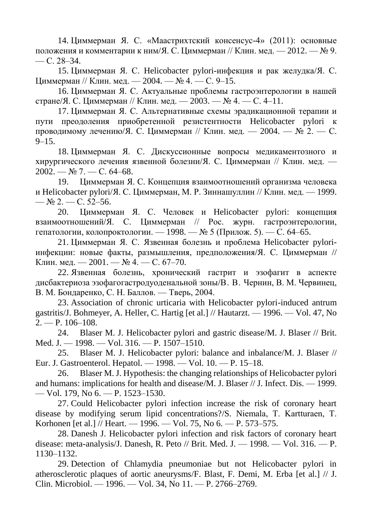14. Циммерман Я. С. «Маастрихтский консенсус-4» (2011): основные положения и комментарии к ним/Я. С. Циммерман // Клин. мед. — 2012. —  $\mathbb{N}_2$  9.  $-$  C. 28–34.

15. Циммерман Я. С. Helicobacter pylori-инфекция и рак желудка/Я. С. Циммерман // Клин. мед. — 2004. — № 4. — С. 9–15.

16. Циммерман Я. С. Актуальные проблемы гастроэнтерологии в нашей стране/Я. С. Циммерман // Клин. мед. — 2003. — № 4. — С. 4–11.

17. Циммерман Я. С. Альтернативные схемы эрадикационной терапии и пути преодоления приобретенной резистентности Helicobacter pylori к проводимому лечению/Я. С. Циммерман // Клин. мед. — 2004. — № 2. — С.  $9 - 15$ .

18. Циммерман Я. С. Дискуссионные вопросы медикаментозного и хирургического лечения язвенной болезни/Я. С. Циммерман // Клин. мед. —  $2002. - N_2$  7. - C. 64-68.

19. Циммерман Я. С. Концепция взаимоотношений организма человека и Helicobacter pylori/Я. С. Циммерман, М. Р. Зиннашуллин // Клин. мед. — 1999. —  $N_2$  2. — C. 52–56.

20. Циммерман Я. С. Человек и Helicobacter pylori: концепция взаимоотношений/Я. С. Циммерман // Рос. журн. гастроэнтерологии, гепатологии, колопроктологии. — 1998. — № 5 (Прилож. 5). — С. 64–65.

21. Циммерман Я. С. Язвенная болезнь и проблема Helicobacter pyloriинфекции: новые факты, размышления, предположения/Я. С. Циммерман // Клин. мед. — 2001. — № 4. — С. 67–70.

22. Язвенная болезнь, хронический гастрит и эзофагит в аспекте дисбактериоза эзофагогастродуоденальной зоны/В. В. Чернин, В. М. Червинец, В. М. Бондаренко, С. Н. Баллов. — Тверь, 2004.

23. Association of chronic urticaria with Helicobacter pylori-induced antrum gastritis/J. Bohmeyer, A. Heller, C. Hartig [et al.] // Hautarzt. — 1996. — Vol. 47, No 2. — P. 106–108.

24. Blaser M. J. Helicobacter pylori and gastric disease/M. J. Blaser // Brit. Med. J. — 1998. — Vol. 316. — P. 1507–1510.

25. Blaser M. J. Helicobacter pylori: balance and inbalance/M. J. Blaser // Eur. J. Gastroenterol. Hepatol. — 1998. — Vol. 10. — P. 15–18.

26. Blaser M. J. Hypothesis: the changing relationships of Helicobacter pylori and humans: implications for health and disease/M. J. Blaser // J. Infect. Dis. — 1999. — Vol. 179, No 6. — P. 1523–1530.

27. Could Helicobacter pylori infection increase the risk of coronary heart disease by modifying serum lipid concentrations?/S. Niemala, Т. Kartturaen, T. Korhonen [et al.] // Heart. — 1996. — Vol. 75, No 6. — P. 573–575.

28. Danesh J. Helicobacter pylori infection and risk factors of coronary heart disease: meta-analysis/J. Danesh, R. Peto // Brit. Med. J. — 1998. — Vol. 316. — P. 1130–1132.

29. Detection of Chlamydia pneumoniae but not Helicobacter pylori in atherosclerotic plaques of aortic aneurysms/F. Blast, F. Demi, M. Erba [et al.] // J. Clin. Microbiol. — 1996. — Vol. 34, No 11. — P. 2766–2769.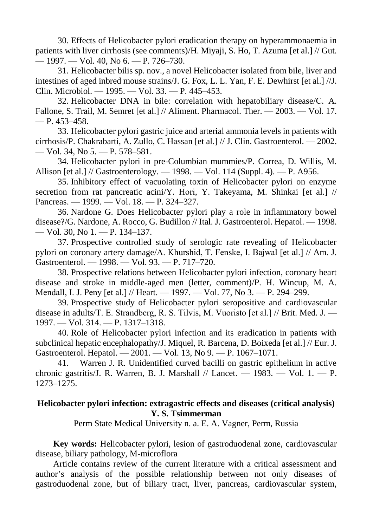30. Effects of Helicobacter pylori eradication therapy on hyperammonaemia in patients with liver cirrhosis (see comments)/H. Miyaji, S. Ho, T. Azuma [et al.] // Gut. — 1997. — Vol. 40, No 6. — P. 726–730.

31. Helicobacter bilis sp. nov., a novel Helicobacter isolated from bile, liver and intestines of aged inbred mouse strains/J. G. Fox, L. L. Yan, F. E. Dewhirst [et al.] //J. Clin. Microbiol. — 1995. — Vol. 33. — P. 445–453.

32. Helicobacter DNA in bile: correlation with hepatobiliary disease/С. A. Fallone, S. Trail, М. Semret [et al.] // Aliment. Pharmacol. Ther. — 2003. — Vol. 17.  $- P. 453 - 458.$ 

33. Helicobacter pylori gastric juice and arterial ammonia levels in patients with cirrhosis/P. Chakrabarti, A. Zullo, C. Hassan [et al.] // J. Clin. Gastroenterol. — 2002. — Vol. 34, No 5. — P. 578–581.

34. Helicobacter pylori in pre-Columbian mummies/P. Correa, D. Willis, M. Allison [et al.] // Gastroenterology. — 1998. — Vol. 114 (Suppl. 4). — P. A956.

35. Inhibitory effect of vacuolating toxin of Helicobacter pylori on enzyme secretion from rat pancreatic acini/Y. Hori, Y. Takeyama, M. Shinkai [et al.] // Pancreas. — 1999. — Vol. 18. — P. 324–327.

36. Nardone G. Does Helicobacter pylori play a role in inflammatory bowel disease?/G. Nardone, A. Rocco, G. Budillon // Ital. J. Gastroenterol. Hepatol. — 1998. — Vol. 30, No 1. — P. 134–137.

37. Prospective controlled study of serologic rate revealing of Helicobacter pylori on coronary artery damage/A. Khurshid, Т. Fenske, I. Bajwal [et al.] // Am. J. Gastroenterol. — 1998. — Vol. 93. — P. 717–720.

38. Prospective relations between Helicobacter pylori infection, coronary heart disease and stroke in middle-aged men (letter, comment)/P. H. Wincup, M. A. Mendall, I. J. Реnу [et al.] // Heart. — 1997. — Vol. 77, No 3. — P. 294–299.

39. Prospective study of Helicobacter pylori seropositive and cardiovascular disease in adults/Т. Е. Strandberg, R. S. Tilvis, M. Vuoristo [et al.] // Brit. Med. J. — 1997. — Vol. 314. — P. 1317–1318.

40. Role of Helicobacter pylori infection and its eradication in patients with subclinical hepatic encephalopathy/J. Miquel, R. Barcena, D. Boixeda [et al.] // Eur. J. Gastroenterol. Hepatol. — 2001. — Vol. 13, No 9. — P. 1067–1071.

41. Warren J. R. Unidentified curved bacilli on gastric epithelium in active chronic gastritis/J. R. Warren, B. J. Marshall // Lancet. — 1983. — Vol. 1. — P. 1273–1275.

## **Helicobacter pylori infection: extragastric effects and diseases (critical analysis) Y. S. Tsimmerman**

Perm State Medical University n. a. E. A. Vagner, Perm, Russia

**Key words:** Helicobacter pylori, lesion of gastroduodenal zone, cardiovascular disease, biliary pathology, M-microflora

Article contains review of the current literature with a critical assessment and author's analysis of the possible relationship between not only diseases of gastroduodenal zone, but of biliary tract, liver, pancreas, cardiovascular system,